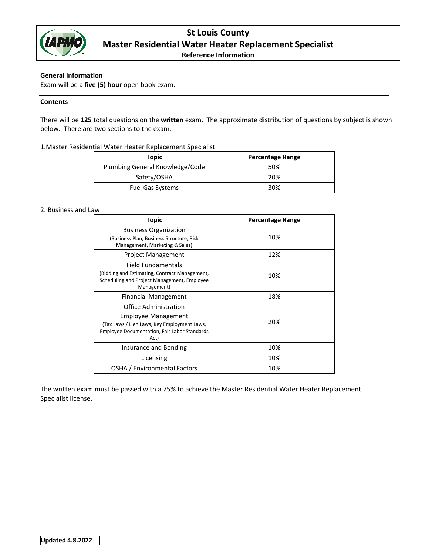

# **St Louis County Master Residential Water Heater Replacement Specialist**

**Reference Information**

## **General Information**

Exam will be a **five (5) hour** open book exam.

## **Contents**

There will be **125** total questions on the **written** exam. The approximate distribution of questions by subject is shown below. There are two sections to the exam.

1.Master Residential Water Heater Replacement Specialist

| Topic                           | <b>Percentage Range</b> |
|---------------------------------|-------------------------|
| Plumbing General Knowledge/Code | 50%                     |
| Safety/OSHA                     | 20%                     |
| Fuel Gas Systems                | 30%                     |

## 2. Business and Law

| Topic                                                                                                                                                             | <b>Percentage Range</b> |
|-------------------------------------------------------------------------------------------------------------------------------------------------------------------|-------------------------|
| <b>Business Organization</b><br>(Business Plan, Business Structure, Risk<br>Management, Marketing & Sales)                                                        | 10%                     |
| <b>Project Management</b>                                                                                                                                         | 12%                     |
| Field Fundamentals<br>(Bidding and Estimating, Contract Management,<br>Scheduling and Project Management, Employee<br>Management)                                 | 10%                     |
| <b>Financial Management</b>                                                                                                                                       | 18%                     |
| Office Administration<br><b>Employee Management</b><br>(Tax Laws / Lien Laws, Key Employment Laws,<br><b>Employee Documentation, Fair Labor Standards</b><br>Act) | 20%                     |
| Insurance and Bonding                                                                                                                                             | 10%                     |
| Licensing                                                                                                                                                         | 10%                     |
| OSHA / Environmental Factors                                                                                                                                      | 10%                     |

The written exam must be passed with a 75% to achieve the Master Residential Water Heater Replacement Specialist license.